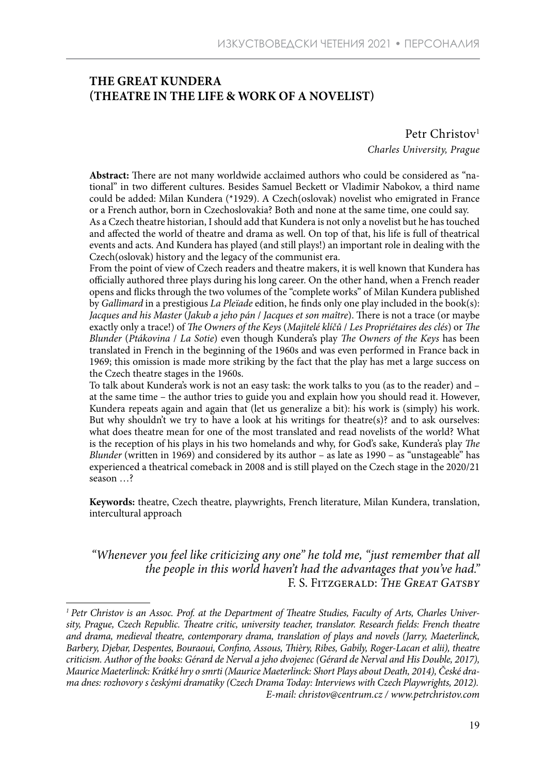# **THE GREAT KUNDERA (THEATRE IN THE LIFE & WORK OF A NOVELIST)**

Petr Christov<sup>1</sup> *Charles University, Prague*

**Abstract:** There are not many worldwide acclaimed authors who could be considered as "national" in two different cultures. Besides Samuel Beckett or Vladimir Nabokov, a third name could be added: Milan Kundera (\*1929). A Czech(oslovak) novelist who emigrated in France or a French author, born in Czechoslovakia? Both and none at the same time, one could say.

As a Czech theatre historian, I should add that Kundera is not only a novelist but he has touched and affected the world of theatre and drama as well. On top of that, his life is full of theatrical events and acts. And Kundera has played (and still plays!) an important role in dealing with the Czech(oslovak) history and the legacy of the communist era.

From the point of view of Czech readers and theatre makers, it is well known that Kundera has officially authored three plays during his long career. On the other hand, when a French reader opens and flicks through the two volumes of the "complete works" of Milan Kundera published by *Gallimard* in a prestigious *La Pleïade* edition, he finds only one play included in the book(s): *Jacques and his Master* (*Jakub a jeho pán* / *Jacques et son maître*). There is not a trace (or maybe exactly only a trace!) of *The Owners of the Keys* (*Majitelé klíčů* / *Les Propriétaires des clés*) or *The Blunder* (*Ptákovina* / *La Sotie*) even though Kundera's play *The Owners of the Keys* has been translated in French in the beginning of the 1960s and was even performed in France back in 1969; this omission is made more striking by the fact that the play has met a large success on the Czech theatre stages in the 1960s.

To talk about Kundera's work is not an easy task: the work talks to you (as to the reader) and – at the same time – the author tries to guide you and explain how you should read it. However, Kundera repeats again and again that (let us generalize a bit): his work is (simply) his work. But why shouldn't we try to have a look at his writings for theatre( $s$ )? and to ask ourselves: what does theatre mean for one of the most translated and read novelists of the world? What is the reception of his plays in his two homelands and why, for God's sake, Kundera's play *The Blunder* (written in 1969) and considered by its author – as late as 1990 – as "unstageable" has experienced a theatrical comeback in 2008 and is still played on the Czech stage in the 2020/21 season …?

**Keywords:** theatre, Czech theatre, playwrights, French literature, Milan Kundera, translation, intercultural approach

*"Whenever you feel like criticizing any one" he told me, "just remember that all the people in this world haven't had the advantages that you've had."*  F. S. Fitzgerald: *The Great Gatsby*

*<sup>1</sup> Petr Christov is an Assoc. Prof. at the Department of Theatre Studies, Faculty of Arts, Charles University, Prague, Czech Republic. Theatre critic, university teacher, translator. Research fields: French theatre and drama, medieval theatre, contemporary drama, translation of plays and novels (Jarry, Maeterlinck, Barbery, Djebar, Despentes, Bouraoui, Confino, Assous, Thièry, Ribes, Gabily, Roger-Lacan et alii), theatre criticism. Author of the books: Gérard de Nerval a jeho dvojenec (Gérard de Nerval and His Double, 2017), Maurice Maeterlinck: Krátké hry o smrti (Maurice Maeterlinck: Short Plays about Death, 2014), České drama dnes: rozhovory s českými dramatiky (Czech Drama Today: Interviews with Czech Playwrights, 2012). E-mail: christov@centrum.cz / www.petrchristov.com*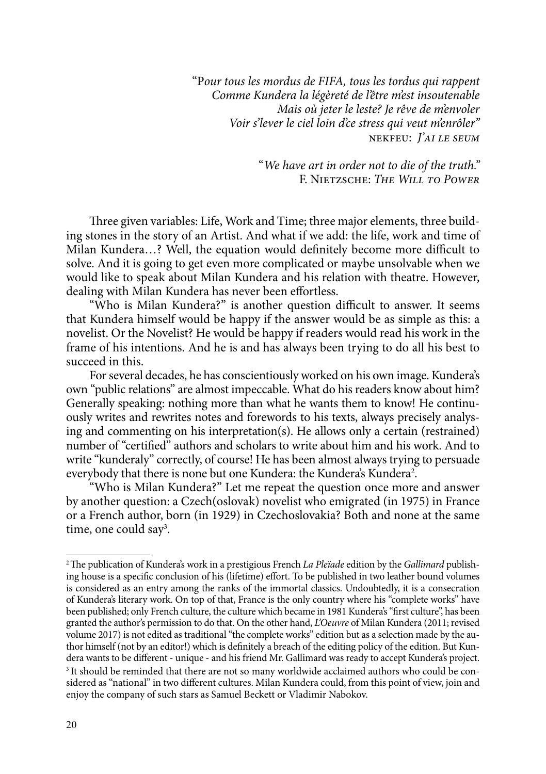"P*our tous les mordus de FIFA, tous les tordus qui rappent Comme Kundera la légèreté de l'être m'est insoutenable Mais où jeter le leste? Je rêve de m'envoler Voir s'lever le ciel loin d'ce stress qui veut m'enrôler"* nekfeu: *J'ai le seum* 

> "*We have art in order not to die of the truth."* F. Nietzsche: *The Will to Power*

Three given variables: Life, Work and Time; three major elements, three building stones in the story of an Artist. And what if we add: the life, work and time of Milan Kundera…? Well, the equation would definitely become more difficult to solve. And it is going to get even more complicated or maybe unsolvable when we would like to speak about Milan Kundera and his relation with theatre. However, dealing with Milan Kundera has never been effortless.

"Who is Milan Kundera?" is another question difficult to answer. It seems that Kundera himself would be happy if the answer would be as simple as this: a novelist. Or the Novelist? He would be happy if readers would read his work in the frame of his intentions. And he is and has always been trying to do all his best to succeed in this.

For several decades, he has conscientiously worked on his own image. Kundera's own "public relations" are almost impeccable. What do his readers know about him? Generally speaking: nothing more than what he wants them to know! He continuously writes and rewrites notes and forewords to his texts, always precisely analysing and commenting on his interpretation(s). He allows only a certain (restrained) number of "certified" authors and scholars to write about him and his work. And to write "kunderaly" correctly, of course! He has been almost always trying to persuade everybody that there is none but one Kundera: the Kundera's Kundera<sup>2</sup>.

"Who is Milan Kundera?" Let me repeat the question once more and answer by another question: a Czech(oslovak) novelist who emigrated (in 1975) in France or a French author, born (in 1929) in Czechoslovakia? Both and none at the same time, one could say3 .

<sup>2</sup>The publication of Kundera's work in a prestigious French *La Pleïade* edition by the *Gallimard* publishing house is a specific conclusion of his (lifetime) effort. To be published in two leather bound volumes is considered as an entry among the ranks of the immortal classics. Undoubtedly, it is a consecration of Kundera's literary work. On top of that, France is the only country where his "complete works" have been published; only French culture, the culture which became in 1981 Kundera's "first culture", has been granted the author's permission to do that. On the other hand, *L'Oeuvre* of Milan Kundera (2011; revised volume 2017) is not edited as traditional "the complete works" edition but as a selection made by the author himself (not by an editor!) which is definitely a breach of the editing policy of the edition. But Kundera wants to be different - unique - and his friend Mr. Gallimard was ready to accept Kundera's project. <sup>3</sup> It should be reminded that there are not so many worldwide acclaimed authors who could be considered as "national" in two different cultures. Milan Kundera could, from this point of view, join and enjoy the company of such stars as Samuel Beckett or Vladimir Nabokov.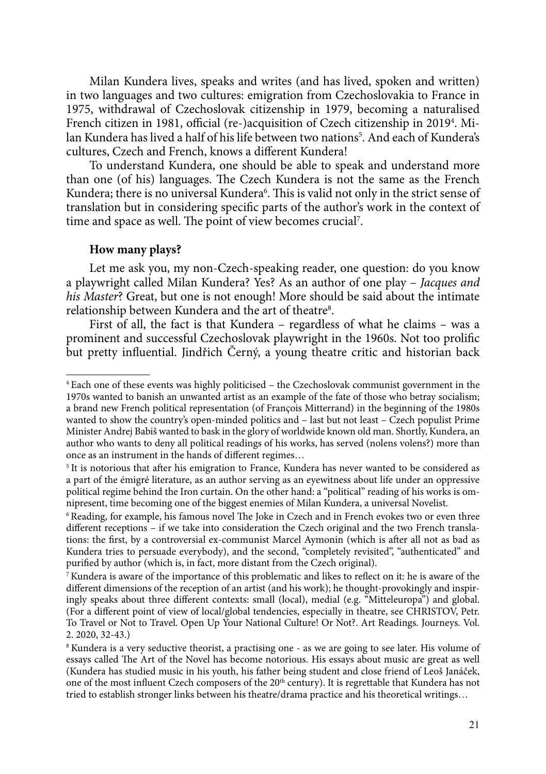Milan Kundera lives, speaks and writes (and has lived, spoken and written) in two languages and two cultures: emigration from Czechoslovakia to France in 1975, withdrawal of Czechoslovak citizenship in 1979, becoming a naturalised French citizen in 1981, official (re-)acquisition of Czech citizenship in 20194 . Milan Kundera has lived a half of his life between two nations<sup>5</sup>. And each of Kundera's cultures, Czech and French, knows a different Kundera!

To understand Kundera, one should be able to speak and understand more than one (of his) languages. The Czech Kundera is not the same as the French Kundera; there is no universal Kundera<sup>6</sup>. This is valid not only in the strict sense of translation but in considering specific parts of the author's work in the context of time and space as well. The point of view becomes crucial7 .

## **How many plays?**

Let me ask you, my non-Czech-speaking reader, one question: do you know a playwright called Milan Kundera? Yes? As an author of one play – *Jacques and his Master*? Great, but one is not enough! More should be said about the intimate relationship between Kundera and the art of theatre $^8\!$ .

First of all, the fact is that Kundera – regardless of what he claims – was a prominent and successful Czechoslovak playwright in the 1960s. Not too prolific but pretty influential. Jindřich Černý, a young theatre critic and historian back

<sup>4</sup> Each one of these events was highly politicised – the Czechoslovak communist government in the 1970s wanted to banish an unwanted artist as an example of the fate of those who betray socialism; a brand new French political representation (of François Mitterrand) in the beginning of the 1980s wanted to show the country's open-minded politics and – last but not least – Czech populist Prime Minister Andrej Babiš wanted to bask in the glory of worldwide known old man. Shortly, Kundera, an author who wants to deny all political readings of his works, has served (nolens volens?) more than once as an instrument in the hands of different regimes…

<sup>&</sup>lt;sup>5</sup> It is notorious that after his emigration to France, Kundera has never wanted to be considered as a part of the émigré literature, as an author serving as an eyewitness about life under an oppressive political regime behind the Iron curtain. On the other hand: a "political" reading of his works is omnipresent, time becoming one of the biggest enemies of Milan Kundera, a universal Novelist.

<sup>6</sup> Reading, for example, his famous novel The Joke in Czech and in French evokes two or even three different receptions – if we take into consideration the Czech original and the two French translations: the first, by a controversial ex-communist Marcel Aymonin (which is after all not as bad as Kundera tries to persuade everybody), and the second, "completely revisited", "authenticated" and purified by author (which is, in fact, more distant from the Czech original).

<sup>7</sup> Kundera is aware of the importance of this problematic and likes to reflect on it: he is aware of the different dimensions of the reception of an artist (and his work); he thought-provokingly and inspiringly speaks about three different contexts: small (local), medial (e.g. "Mitteleuropa") and global. (For a different point of view of local/global tendencies, especially in theatre, see CHRISTOV, Petr. To Travel or Not to Travel. Open Up Your National Culture! Or Not?. Art Readings. Journeys. Vol. 2. 2020, 32-43.)

<sup>8</sup> Kundera is a very seductive theorist, a practising one - as we are going to see later. His volume of essays called The Art of the Novel has become notorious. His essays about music are great as well (Kundera has studied music in his youth, his father being student and close friend of Leoš Janáček, one of the most influent Czech composers of the 20th century). It is regrettable that Kundera has not tried to establish stronger links between his theatre/drama practice and his theoretical writings…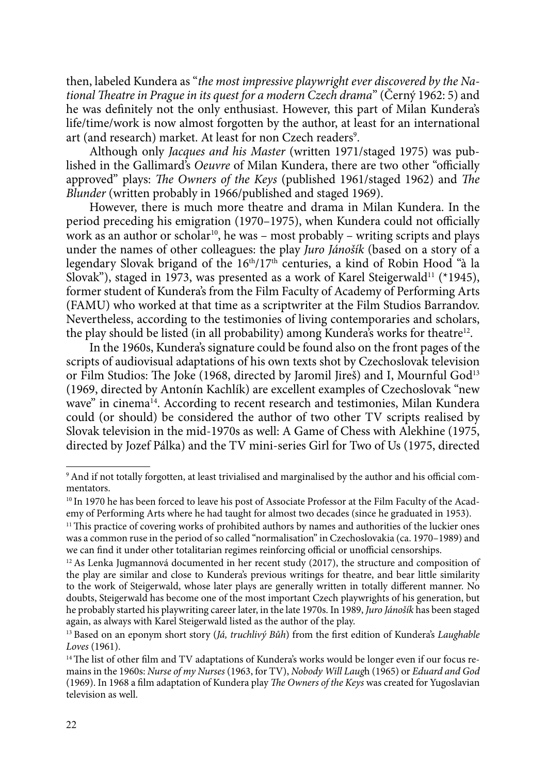then, labeled Kundera as "*the most impressive playwright ever discovered by the National Theatre in Prague in its quest for a modern Czech drama*" (Černý 1962: 5) and he was definitely not the only enthusiast. However, this part of Milan Kundera's life/time/work is now almost forgotten by the author, at least for an international art (and research) market. At least for non Czech readers<sup>9</sup>.

Although only *Jacques and his Master* (written 1971/staged 1975) was published in the Gallimard's *Oeuvre* of Milan Kundera, there are two other "officially approved" plays: *The Owners of the Keys* (published 1961/staged 1962) and *The Blunder* (written probably in 1966/published and staged 1969).

However, there is much more theatre and drama in Milan Kundera. In the period preceding his emigration (1970–1975), when Kundera could not officially work as an author or scholar<sup>10</sup>, he was – most probably – writing scripts and plays under the names of other colleagues: the play *Juro Jánošík* (based on a story of a legendary Slovak brigand of the 16<sup>th</sup>/17<sup>th</sup> centuries, a kind of Robin Hood "à la Slovak"), staged in 1973, was presented as a work of Karel Steigerwald<sup>11</sup> (\*1945), former student of Kundera's from the Film Faculty of Academy of Performing Arts (FAMU) who worked at that time as a scriptwriter at the Film Studios Barrandov. Nevertheless, according to the testimonies of living contemporaries and scholars, the play should be listed (in all probability) among Kundera's works for theatre<sup>12</sup>.

In the 1960s, Kundera's signature could be found also on the front pages of the scripts of audiovisual adaptations of his own texts shot by Czechoslovak television or Film Studios: The Joke (1968, directed by Jaromil Jireš) and I, Mournful God<sup>13</sup> (1969, directed by Antonín Kachlík) are excellent examples of Czechoslovak "new wave" in cinema<sup>14</sup>. According to recent research and testimonies, Milan Kundera could (or should) be considered the author of two other TV scripts realised by Slovak television in the mid-1970s as well: A Game of Chess with Alekhine (1975, directed by Jozef Pálka) and the TV mini-series Girl for Two of Us (1975, directed

<sup>9</sup>And if not totally forgotten, at least trivialised and marginalised by the author and his official commentators.

<sup>&</sup>lt;sup>10</sup> In 1970 he has been forced to leave his post of Associate Professor at the Film Faculty of the Academy of Performing Arts where he had taught for almost two decades (since he graduated in 1953).

<sup>&</sup>lt;sup>11</sup> This practice of covering works of prohibited authors by names and authorities of the luckier ones was a common ruse in the period of so called "normalisation" in Czechoslovakia (ca. 1970–1989) and we can find it under other totalitarian regimes reinforcing official or unofficial censorships.

 $12$  As Lenka Jugmannová documented in her recent study (2017), the structure and composition of the play are similar and close to Kundera's previous writings for theatre, and bear little similarity to the work of Steigerwald, whose later plays are generally written in totally different manner. No doubts, Steigerwald has become one of the most important Czech playwrights of his generation, but he probably started his playwriting career later, in the late 1970s. In 1989, *Juro Jánošík* has been staged again, as always with Karel Steigerwald listed as the author of the play.

<sup>13</sup> Based on an eponym short story (*Já, truchlivý Bůh*) from the first edition of Kundera's *Laughable Loves* (1961).

<sup>&</sup>lt;sup>14</sup> The list of other film and TV adaptations of Kundera's works would be longer even if our focus remains in the 1960s: *Nurse of my Nurses* (1963, for TV), *Nobody Will Laug*h (1965) or *Eduard and God* (1969). In 1968 a film adaptation of Kundera play *The Owners of the Keys* was created for Yugoslavian television as well.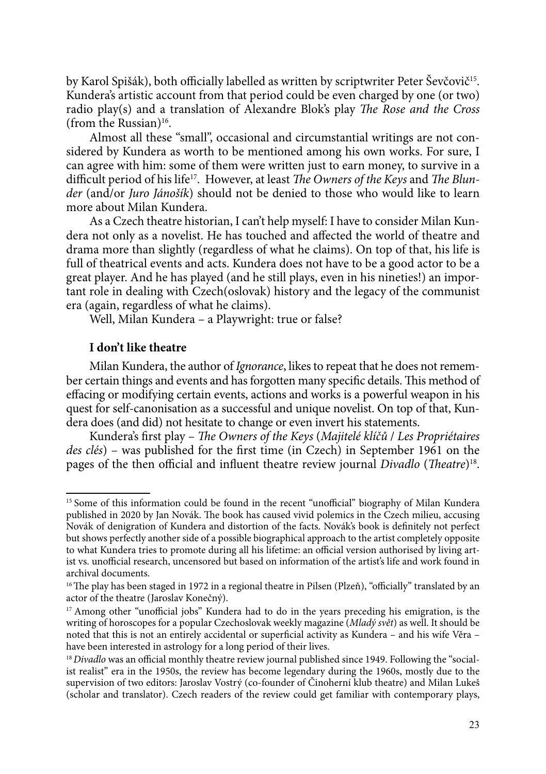by Karol Spišák), both officially labelled as written by scriptwriter Peter Ševčovič<sup>15</sup>. Kundera's artistic account from that period could be even charged by one (or two) radio play(s) and a translation of Alexandre Blok's play *The Rose and the Cross* (from the Russian) $16$ .

Almost all these "small", occasional and circumstantial writings are not considered by Kundera as worth to be mentioned among his own works. For sure, I can agree with him: some of them were written just to earn money, to survive in a difficult period of his life17. However, at least *The Owners of the Keys* and *The Blunder* (and/or *Juro Jánošík*) should not be denied to those who would like to learn more about Milan Kundera.

As a Czech theatre historian, I can't help myself: I have to consider Milan Kundera not only as a novelist. He has touched and affected the world of theatre and drama more than slightly (regardless of what he claims). On top of that, his life is full of theatrical events and acts. Kundera does not have to be a good actor to be a great player. And he has played (and he still plays, even in his nineties!) an important role in dealing with Czech(oslovak) history and the legacy of the communist era (again, regardless of what he claims).

Well, Milan Kundera – a Playwright: true or false?

## **I don't like theatre**

Milan Kundera, the author of *Ignorance*, likes to repeat that he does not remember certain things and events and has forgotten many specific details. This method of effacing or modifying certain events, actions and works is a powerful weapon in his quest for self-canonisation as a successful and unique novelist. On top of that, Kundera does (and did) not hesitate to change or even invert his statements.

Kundera's first play – *The Owners of the Keys* (*Majitelé klíčů* / *Les Propriétaires des clés*) – was published for the first time (in Czech) in September 1961 on the pages of the then official and influent theatre review journal *Divadlo* (*Theatre*)18.

<sup>&</sup>lt;sup>15</sup> Some of this information could be found in the recent "unofficial" biography of Milan Kundera published in 2020 by Jan Novák. The book has caused vivid polemics in the Czech milieu, accusing Novák of denigration of Kundera and distortion of the facts. Novák's book is definitely not perfect but shows perfectly another side of a possible biographical approach to the artist completely opposite to what Kundera tries to promote during all his lifetime: an official version authorised by living artist vs. unofficial research, uncensored but based on information of the artist's life and work found in archival documents.

<sup>&</sup>lt;sup>16</sup> The play has been staged in 1972 in a regional theatre in Pilsen (Plzeň), "officially" translated by an actor of the theatre (Jaroslav Konečný).

<sup>&</sup>lt;sup>17</sup> Among other "unofficial jobs" Kundera had to do in the years preceding his emigration, is the writing of horoscopes for a popular Czechoslovak weekly magazine (*Mladý svět*) as well. It should be noted that this is not an entirely accidental or superficial activity as Kundera – and his wife Věra – have been interested in astrology for a long period of their lives.

<sup>&</sup>lt;sup>18</sup> *Divadlo* was an official monthly theatre review journal published since 1949. Following the "socialist realist" era in the 1950s, the review has become legendary during the 1960s, mostly due to the supervision of two editors: Jaroslav Vostrý (co-founder of Činoherní klub theatre) and Milan Lukeš (scholar and translator). Czech readers of the review could get familiar with contemporary plays,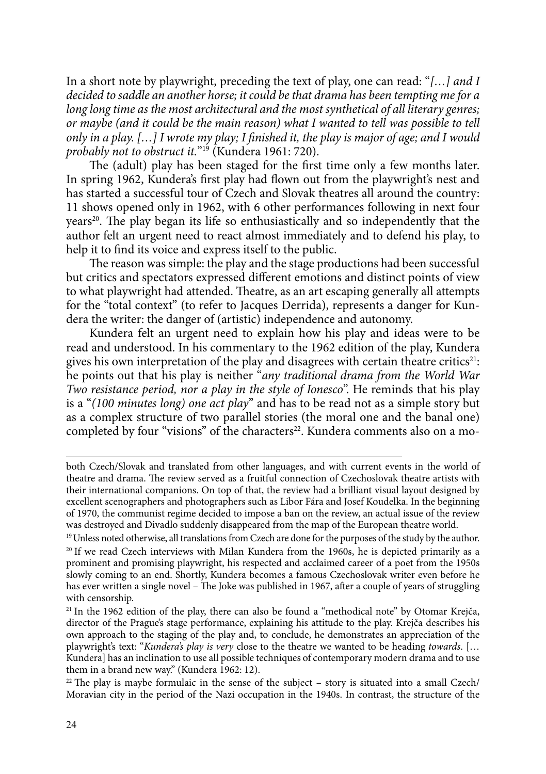In a short note by playwright, preceding the text of play, one can read: "*[…] and I decided to saddle an another horse; it could be that drama has been tempting me for a long long time as the most architectural and the most synthetical of all literary genres; or maybe (and it could be the main reason) what I wanted to tell was possible to tell only in a play. […] I wrote my play; I finished it, the play is major of age; and I would probably not to obstruct it.*"19 (Kundera 1961: 720).

The (adult) play has been staged for the first time only a few months later. In spring 1962, Kundera's first play had flown out from the playwright's nest and has started a successful tour of Czech and Slovak theatres all around the country: 11 shows opened only in 1962, with 6 other performances following in next four years<sup>20</sup>. The play began its life so enthusiastically and so independently that the author felt an urgent need to react almost immediately and to defend his play, to help it to find its voice and express itself to the public.

The reason was simple: the play and the stage productions had been successful but critics and spectators expressed different emotions and distinct points of view to what playwright had attended. Theatre, as an art escaping generally all attempts for the "total context" (to refer to Jacques Derrida), represents a danger for Kundera the writer: the danger of (artistic) independence and autonomy.

Kundera felt an urgent need to explain how his play and ideas were to be read and understood. In his commentary to the 1962 edition of the play, Kundera gives his own interpretation of the play and disagrees with certain theatre critics<sup>21</sup>: he points out that his play is neither "*any traditional drama from the World War Two resistance period, nor a play in the style of Ionesco*". He reminds that his play is a "*(100 minutes long) one act play*" and has to be read not as a simple story but as a complex structure of two parallel stories (the moral one and the banal one) completed by four "visions" of the characters<sup>22</sup>. Kundera comments also on a mo-

both Czech/Slovak and translated from other languages, and with current events in the world of theatre and drama. The review served as a fruitful connection of Czechoslovak theatre artists with their international companions. On top of that, the review had a brilliant visual layout designed by excellent scenographers and photographers such as Libor Fára and Josef Koudelka. In the beginning of 1970, the communist regime decided to impose a ban on the review, an actual issue of the review was destroyed and Divadlo suddenly disappeared from the map of the European theatre world.

<sup>&</sup>lt;sup>19</sup> Unless noted otherwise, all translations from Czech are done for the purposes of the study by the author. <sup>20</sup> If we read Czech interviews with Milan Kundera from the 1960s, he is depicted primarily as a prominent and promising playwright, his respected and acclaimed career of a poet from the 1950s slowly coming to an end. Shortly, Kundera becomes a famous Czechoslovak writer even before he has ever written a single novel – The Joke was published in 1967, after a couple of years of struggling with censorship.

<sup>&</sup>lt;sup>21</sup> In the 1962 edition of the play, there can also be found a "methodical note" by Otomar Krejča, director of the Prague's stage performance, explaining his attitude to the play. Krejča describes his own approach to the staging of the play and, to conclude, he demonstrates an appreciation of the playwright's text: "*Kundera's play is very* close to the theatre we wanted to be heading *towards*. [… Kundera] has an inclination to use all possible techniques of contemporary modern drama and to use them in a brand new way." (Kundera 1962: 12).

 $22$  The play is maybe formulaic in the sense of the subject – story is situated into a small Czech/ Moravian city in the period of the Nazi occupation in the 1940s. In contrast, the structure of the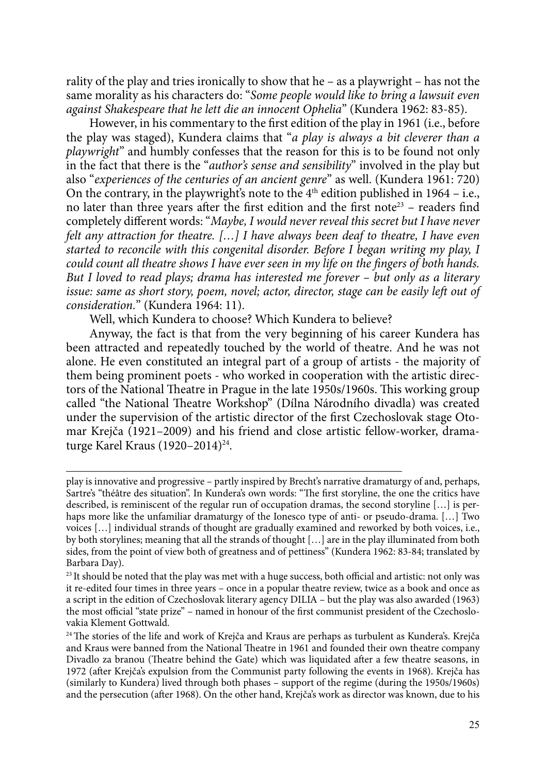rality of the play and tries ironically to show that he – as a playwright – has not the same morality as his characters do: "*Some people would like to bring a lawsuit even against Shakespeare that he lett die an innocent Ophelia*" (Kundera 1962: 83-85).

However, in his commentary to the first edition of the play in 1961 (i.e., before the play was staged), Kundera claims that "*a play is always a bit cleverer than a playwright*" and humbly confesses that the reason for this is to be found not only in the fact that there is the "*author's sense and sensibility*" involved in the play but also "*experiences of the centuries of an ancient genre*" as well. (Kundera 1961: 720) On the contrary, in the playwright's note to the  $4<sup>th</sup>$  edition published in 1964 – i.e., no later than three years after the first edition and the first note<sup>23</sup> – readers find completely different words: "*Maybe, I would never reveal this secret but I have never felt any attraction for theatre. […] I have always been deaf to theatre, I have even started to reconcile with this congenital disorder. Before I began writing my play, I could count all theatre shows I have ever seen in my life on the fingers of both hands. But I loved to read plays; drama has interested me forever – but only as a literary issue: same as short story, poem, novel; actor, director, stage can be easily left out of consideration.*" (Kundera 1964: 11).

Well, which Kundera to choose? Which Kundera to believe?

Anyway, the fact is that from the very beginning of his career Kundera has been attracted and repeatedly touched by the world of theatre. And he was not alone. He even constituted an integral part of a group of artists - the majority of them being prominent poets - who worked in cooperation with the artistic directors of the National Theatre in Prague in the late 1950s/1960s. This working group called "the National Theatre Workshop" (Dílna Národního divadla) was created under the supervision of the artistic director of the first Czechoslovak stage Otomar Krejča (1921–2009) and his friend and close artistic fellow-worker, dramaturge Karel Kraus (1920–2014)24.

play is innovative and progressive – partly inspired by Brecht's narrative dramaturgy of and, perhaps, Sartre's "théâtre des situation". In Kundera's own words: "The first storyline, the one the critics have described, is reminiscent of the regular run of occupation dramas, the second storyline […] is perhaps more like the unfamiliar dramaturgy of the Ionesco type of anti- or pseudo-drama. [...] Two voices […] individual strands of thought are gradually examined and reworked by both voices, i.e., by both storylines; meaning that all the strands of thought […] are in the play illuminated from both sides, from the point of view both of greatness and of pettiness" (Kundera 1962: 83-84; translated by Barbara Day).

<sup>&</sup>lt;sup>23</sup> It should be noted that the play was met with a huge success, both official and artistic: not only was it re-edited four times in three years – once in a popular theatre review, twice as a book and once as a script in the edition of Czechoslovak literary agency DILIA – but the play was also awarded (1963) the most official "state prize" – named in honour of the first communist president of the Czechoslovakia Klement Gottwald.

<sup>&</sup>lt;sup>24</sup> The stories of the life and work of Krejča and Kraus are perhaps as turbulent as Kundera's. Krejča and Kraus were banned from the National Theatre in 1961 and founded their own theatre company Divadlo za branou (Theatre behind the Gate) which was liquidated after a few theatre seasons, in 1972 (after Krejča's expulsion from the Communist party following the events in 1968). Krejča has (similarly to Kundera) lived through both phases – support of the regime (during the 1950s/1960s) and the persecution (after 1968). On the other hand, Krejča's work as director was known, due to his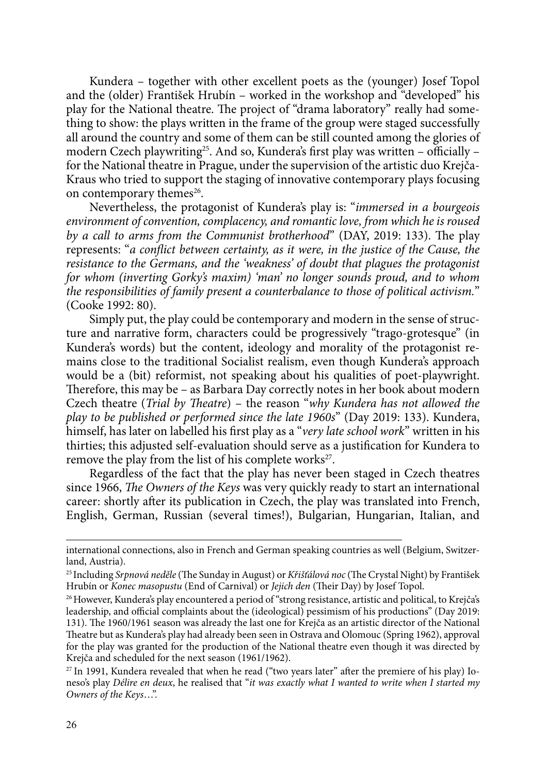Kundera – together with other excellent poets as the (younger) Josef Topol and the (older) František Hrubín – worked in the workshop and "developed" his play for the National theatre. The project of "drama laboratory" really had something to show: the plays written in the frame of the group were staged successfully all around the country and some of them can be still counted among the glories of modern Czech playwriting<sup>25</sup>. And so, Kundera's first play was written - officially for the National theatre in Prague, under the supervision of the artistic duo Krejča-Kraus who tried to support the staging of innovative contemporary plays focusing on contemporary themes<sup>26</sup>.

Nevertheless, the protagonist of Kundera's play is: "*immersed in a bourgeois environment of convention, complacency, and romantic love, from which he is roused by a call to arms from the Communist brotherhood*" (DAY, 2019: 133). The play represents: "*a conflict between certainty, as it were, in the justice of the Cause, the resistance to the Germans, and the 'weakness' of doubt that plagues the protagonist for whom (inverting Gorky's maxim) 'man' no longer sounds proud, and to whom the responsibilities of family present a counterbalance to those of political activism.*" (Cooke 1992: 80).

Simply put, the play could be contemporary and modern in the sense of structure and narrative form, characters could be progressively "trago-grotesque" (in Kundera's words) but the content, ideology and morality of the protagonist remains close to the traditional Socialist realism, even though Kundera's approach would be a (bit) reformist, not speaking about his qualities of poet-playwright. Therefore, this may be – as Barbara Day correctly notes in her book about modern Czech theatre (*Trial by Theatre*) – the reason "*why Kundera has not allowed the play to be published or performed since the late 1960s*" (Day 2019: 133). Kundera, himself, has later on labelled his first play as a "*very late school work*" written in his thirties; this adjusted self-evaluation should serve as a justification for Kundera to remove the play from the list of his complete works<sup>27</sup>.

Regardless of the fact that the play has never been staged in Czech theatres since 1966, *The Owners of the Keys* was very quickly ready to start an international career: shortly after its publication in Czech, the play was translated into French, English, German, Russian (several times!), Bulgarian, Hungarian, Italian, and

international connections, also in French and German speaking countries as well (Belgium, Switzerland, Austria).

<sup>25</sup> Including *Srpnová neděle* (The Sunday in August) or *Křišťálová noc* (The Crystal Night) by František Hrubín or *Konec masopustu* (End of Carnival) or *Jejich den* (Their Day) by Josef Topol.

<sup>&</sup>lt;sup>26</sup> However, Kundera's play encountered a period of "strong resistance, artistic and political, to Krejča's leadership, and official complaints about the (ideological) pessimism of his productions" (Day 2019: 131). The 1960/1961 season was already the last one for Krejča as an artistic director of the National Theatre but as Kundera's play had already been seen in Ostrava and Olomouc (Spring 1962), approval for the play was granted for the production of the National theatre even though it was directed by Krejča and scheduled for the next season (1961/1962).

<sup>27</sup> In 1991, Kundera revealed that when he read ("two years later" after the premiere of his play) Ioneso's play *Délire en deux*, he realised that "*it was exactly what I wanted to write when I started my Owners of the Keys*…".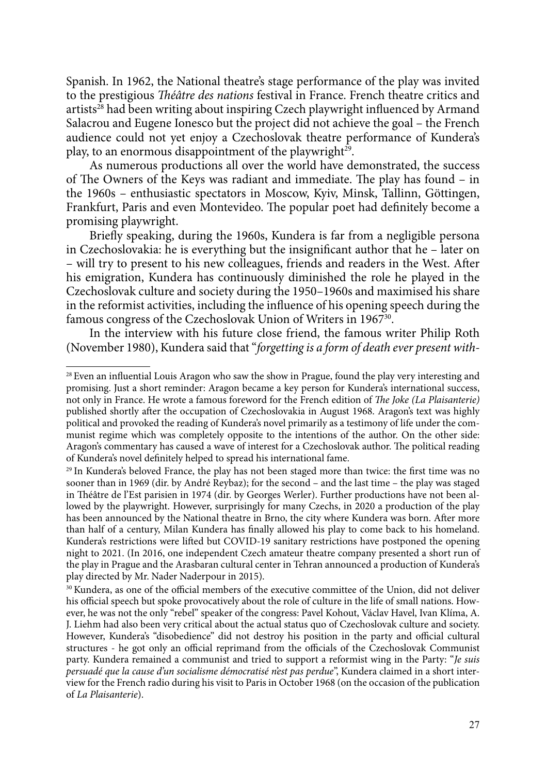Spanish. In 1962, the National theatre's stage performance of the play was invited to the prestigious *Théâtre des nations* festival in France. French theatre critics and artists<sup>28</sup> had been writing about inspiring Czech playwright influenced by Armand Salacrou and Eugene Ionesco but the project did not achieve the goal – the French audience could not yet enjoy a Czechoslovak theatre performance of Kundera's play, to an enormous disappointment of the playwright<sup>29</sup>.

As numerous productions all over the world have demonstrated, the success of The Owners of the Keys was radiant and immediate. The play has found – in the 1960s – enthusiastic spectators in Moscow, Kyiv, Minsk, Tallinn, Göttingen, Frankfurt, Paris and even Montevideo. The popular poet had definitely become a promising playwright.

Briefly speaking, during the 1960s, Kundera is far from a negligible persona in Czechoslovakia: he is everything but the insignificant author that he – later on – will try to present to his new colleagues, friends and readers in the West. After his emigration, Kundera has continuously diminished the role he played in the Czechoslovak culture and society during the 1950–1960s and maximised his share in the reformist activities, including the influence of his opening speech during the famous congress of the Czechoslovak Union of Writers in 1967<sup>30</sup>.

In the interview with his future close friend, the famous writer Philip Roth (November 1980), Kundera said that "*forgetting is a form of death ever present with-*

<sup>&</sup>lt;sup>28</sup> Even an influential Louis Aragon who saw the show in Prague, found the play very interesting and promising. Just a short reminder: Aragon became a key person for Kundera's international success, not only in France. He wrote a famous foreword for the French edition of *The Joke (La Plaisanterie)* published shortly after the occupation of Czechoslovakia in August 1968. Aragon's text was highly political and provoked the reading of Kundera's novel primarily as a testimony of life under the communist regime which was completely opposite to the intentions of the author. On the other side: Aragon's commentary has caused a wave of interest for a Czechoslovak author. The political reading of Kundera's novel definitely helped to spread his international fame.

<sup>&</sup>lt;sup>29</sup> In Kundera's beloved France, the play has not been staged more than twice: the first time was no sooner than in 1969 (dir. by André Reybaz); for the second – and the last time – the play was staged in Théâtre de l'Est parisien in 1974 (dir. by Georges Werler). Further productions have not been allowed by the playwright. However, surprisingly for many Czechs, in 2020 a production of the play has been announced by the National theatre in Brno, the city where Kundera was born. After more than half of a century, Milan Kundera has finally allowed his play to come back to his homeland. Kundera's restrictions were lifted but COVID-19 sanitary restrictions have postponed the opening night to 2021. (In 2016, one independent Czech amateur theatre company presented a short run of the play in Prague and the Arasbaran cultural center in Tehran announced a production of Kundera's play directed by Mr. Nader Naderpour in 2015).

<sup>30</sup> Kundera, as one of the official members of the executive committee of the Union, did not deliver his official speech but spoke provocatively about the role of culture in the life of small nations. However, he was not the only "rebel" speaker of the congress: Pavel Kohout, Václav Havel, Ivan Klíma, A. J. Liehm had also been very critical about the actual status quo of Czechoslovak culture and society. However, Kundera's "disobedience" did not destroy his position in the party and official cultural structures - he got only an official reprimand from the officials of the Czechoslovak Communist party. Kundera remained a communist and tried to support a reformist wing in the Party: "*Je suis persuadé que la cause d'un socialisme démocratisé n'est pas perdue*", Kundera claimed in a short interview for the French radio during his visit to Paris in October 1968 (on the occasion of the publication of *La Plaisanterie*).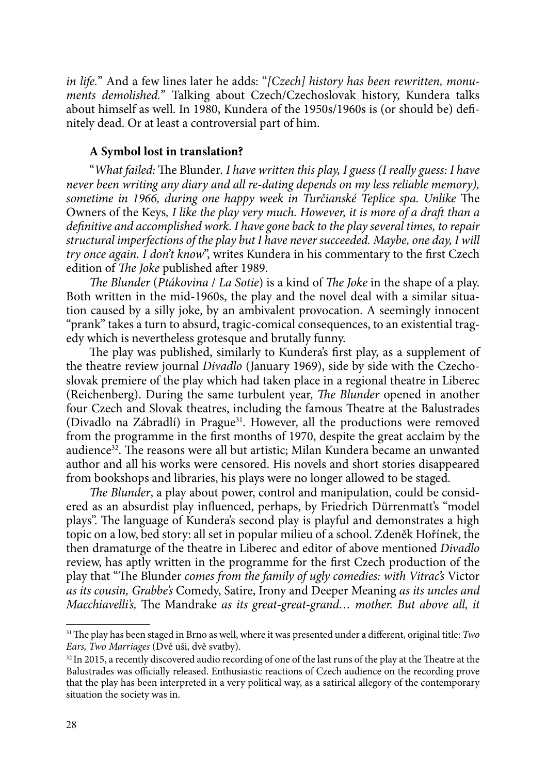*in life.*" And a few lines later he adds: "*[Czech] history has been rewritten, monuments demolished.*" Talking about Czech/Czechoslovak history, Kundera talks about himself as well. In 1980, Kundera of the 1950s/1960s is (or should be) definitely dead. Or at least a controversial part of him.

### **A Symbol lost in translation?**

"*What failed:* The Blunder*. I have written this play, I guess (I really guess: I have never been writing any diary and all re-dating depends on my less reliable memory), sometime in 1966, during one happy week in Turčianské Teplice spa. Unlike* The Owners of the Keys*, I like the play very much. However, it is more of a draft than a definitive and accomplished work. I have gone back to the play several times, to repair structural imperfections of the play but I have never succeeded. Maybe, one day, I will try once again. I don't know*", writes Kundera in his commentary to the first Czech edition of *The Joke* published after 1989.

*The Blunder* (*Ptákovina* / *La Sotie*) is a kind of *The Joke* in the shape of a play. Both written in the mid-1960s, the play and the novel deal with a similar situation caused by a silly joke, by an ambivalent provocation. A seemingly innocent "prank" takes a turn to absurd, tragic-comical consequences, to an existential tragedy which is nevertheless grotesque and brutally funny.

The play was published, similarly to Kundera's first play, as a supplement of the theatre review journal *Divadlo* (January 1969), side by side with the Czechoslovak premiere of the play which had taken place in a regional theatre in Liberec (Reichenberg). During the same turbulent year, *The Blunder* opened in another four Czech and Slovak theatres, including the famous Theatre at the Balustrades (Divadlo na Zábradlí) in Prague<sup>31</sup>. However, all the productions were removed from the programme in the first months of 1970, despite the great acclaim by the audience32. The reasons were all but artistic; Milan Kundera became an unwanted author and all his works were censored. His novels and short stories disappeared from bookshops and libraries, his plays were no longer allowed to be staged.

*The Blunder*, a play about power, control and manipulation, could be considered as an absurdist play influenced, perhaps, by Friedrich Dürrenmatt's "model plays". The language of Kundera's second play is playful and demonstrates a high topic on a low, bed story: all set in popular milieu of a school. Zdeněk Hořínek, the then dramaturge of the theatre in Liberec and editor of above mentioned *Divadlo*  review, has aptly written in the programme for the first Czech production of the play that "The Blunder *comes from the family of ugly comedies: with Vitrac's* Victor *as its cousin, Grabbe's* Comedy, Satire, Irony and Deeper Meaning *as its uncles and Macchiavelli's,* The Mandrake *as its great-great-grand… mother. But above all, it* 

<sup>31</sup>The play has been staged in Brno as well, where it was presented under a different, original title: *Two Ears, Two Marriages* (Dvě uši, dvě svatby).

<sup>&</sup>lt;sup>32</sup> In 2015, a recently discovered audio recording of one of the last runs of the play at the Theatre at the Balustrades was officially released. Enthusiastic reactions of Czech audience on the recording prove that the play has been interpreted in a very political way, as a satirical allegory of the contemporary situation the society was in.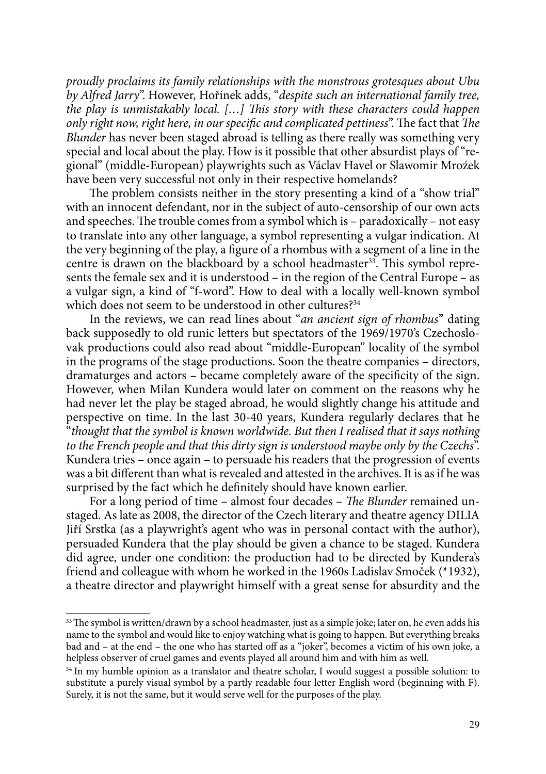*proudly proclaims its family relationships with the monstrous grotesques about Ubu by Alfred Jarry*". However, Hořínek adds, "*despite such an international family tree, the play is unmistakably local. […] This story with these characters could happen only right now, right here, in our specific and complicated pettiness*". The fact that *The Blunder* has never been staged abroad is telling as there really was something very special and local about the play. How is it possible that other absurdist plays of "regional" (middle-European) playwrights such as Václav Havel or Slawomir Mroźek have been very successful not only in their respective homelands?

The problem consists neither in the story presenting a kind of a "show trial" with an innocent defendant, nor in the subject of auto-censorship of our own acts and speeches. The trouble comes from a symbol which is – paradoxically – not easy to translate into any other language, a symbol representing a vulgar indication. At the very beginning of the play, a figure of a rhombus with a segment of a line in the centre is drawn on the blackboard by a school headmaster<sup>33</sup>. This symbol represents the female sex and it is understood – in the region of the Central Europe – as a vulgar sign, a kind of "f-word". How to deal with a locally well-known symbol which does not seem to be understood in other cultures?<sup>34</sup>

In the reviews, we can read lines about "*an ancient sign of rhombus*" dating back supposedly to old runic letters but spectators of the 1969/1970's Czechoslovak productions could also read about "middle-European" locality of the symbol in the programs of the stage productions. Soon the theatre companies – directors, dramaturges and actors – became completely aware of the specificity of the sign. However, when Milan Kundera would later on comment on the reasons why he had never let the play be staged abroad, he would slightly change his attitude and perspective on time. In the last 30-40 years, Kundera regularly declares that he "*thought that the symbol is known worldwide. But then I realised that it says nothing to the French people and that this dirty sign is understood maybe only by the Czechs*". Kundera tries – once again – to persuade his readers that the progression of events was a bit different than what is revealed and attested in the archives. It is as if he was surprised by the fact which he definitely should have known earlier.

For a long period of time – almost four decades – *The Blunder* remained unstaged. As late as 2008, the director of the Czech literary and theatre agency DILIA Jiří Srstka (as a playwright's agent who was in personal contact with the author), persuaded Kundera that the play should be given a chance to be staged. Kundera did agree, under one condition: the production had to be directed by Kundera's friend and colleague with whom he worked in the 1960s Ladislav Smoček (\*1932), a theatre director and playwright himself with a great sense for absurdity and the

<sup>&</sup>lt;sup>33</sup> The symbol is written/drawn by a school headmaster, just as a simple joke; later on, he even adds his name to the symbol and would like to enjoy watching what is going to happen. But everything breaks bad and – at the end – the one who has started off as a "joker", becomes a victim of his own joke, a helpless observer of cruel games and events played all around him and with him as well.

<sup>&</sup>lt;sup>34</sup> In my humble opinion as a translator and theatre scholar, I would suggest a possible solution: to substitute a purely visual symbol by a partly readable four letter English word (beginning with F). Surely, it is not the same, but it would serve well for the purposes of the play.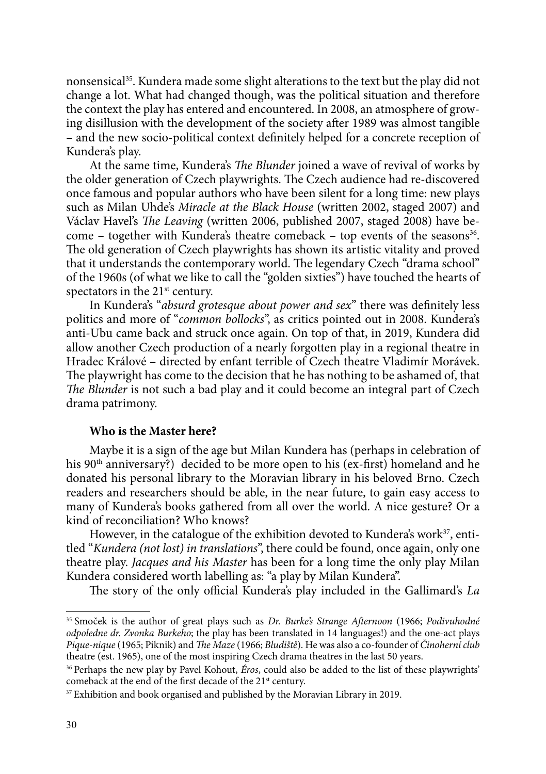nonsensical35. Kundera made some slight alterations to the text but the play did not change a lot. What had changed though, was the political situation and therefore the context the play has entered and encountered. In 2008, an atmosphere of growing disillusion with the development of the society after 1989 was almost tangible – and the new socio-political context definitely helped for a concrete reception of Kundera's play.

At the same time, Kundera's *The Blunder* joined a wave of revival of works by the older generation of Czech playwrights. The Czech audience had re-discovered once famous and popular authors who have been silent for a long time: new plays such as Milan Uhde's *Miracle at the Black House* (written 2002, staged 2007) and Václav Havel's *The Leaving* (written 2006, published 2007, staged 2008) have become – together with Kundera's theatre comeback – top events of the seasons<sup>36</sup>. The old generation of Czech playwrights has shown its artistic vitality and proved that it understands the contemporary world. The legendary Czech "drama school" of the 1960s (of what we like to call the "golden sixties") have touched the hearts of spectators in the  $21<sup>st</sup>$  century.

In Kundera's "*absurd grotesque about power and sex*" there was definitely less politics and more of "*common bollocks*", as critics pointed out in 2008. Kundera's anti-Ubu came back and struck once again. On top of that, in 2019, Kundera did allow another Czech production of a nearly forgotten play in a regional theatre in Hradec Králové – directed by enfant terrible of Czech theatre Vladimír Morávek. The playwright has come to the decision that he has nothing to be ashamed of, that *The Blunder* is not such a bad play and it could become an integral part of Czech drama patrimony.

### **Who is the Master here?**

Maybe it is a sign of the age but Milan Kundera has (perhaps in celebration of his 90<sup>th</sup> anniversary?) decided to be more open to his (ex-first) homeland and he donated his personal library to the Moravian library in his beloved Brno. Czech readers and researchers should be able, in the near future, to gain easy access to many of Kundera's books gathered from all over the world. A nice gesture? Or a kind of reconciliation? Who knows?

However, in the catalogue of the exhibition devoted to Kundera's work<sup>37</sup>, entitled "*Kundera (not lost) in translations*", there could be found, once again, only one theatre play. *Jacques and his Master* has been for a long time the only play Milan Kundera considered worth labelling as: "a play by Milan Kundera".

The story of the only official Kundera's play included in the Gallimard's *La* 

<sup>35</sup> Smoček is the author of great plays such as *Dr. Burke's Strange Afternoon* (1966; *Podivuhodné odpoledne dr. Zvonka Burkeho*; the play has been translated in 14 languages!) and the one-act plays *Pique-nique* (1965; Piknik) and *The Maze* (1966; *Bludiště*). He was also a co-founder of *Činoherní club* theatre (est. 1965), one of the most inspiring Czech drama theatres in the last 50 years.

<sup>36</sup> Perhaps the new play by Pavel Kohout, *Éros*, could also be added to the list of these playwrights' comeback at the end of the first decade of the 21<sup>st</sup> century.

<sup>&</sup>lt;sup>37</sup> Exhibition and book organised and published by the Moravian Library in 2019.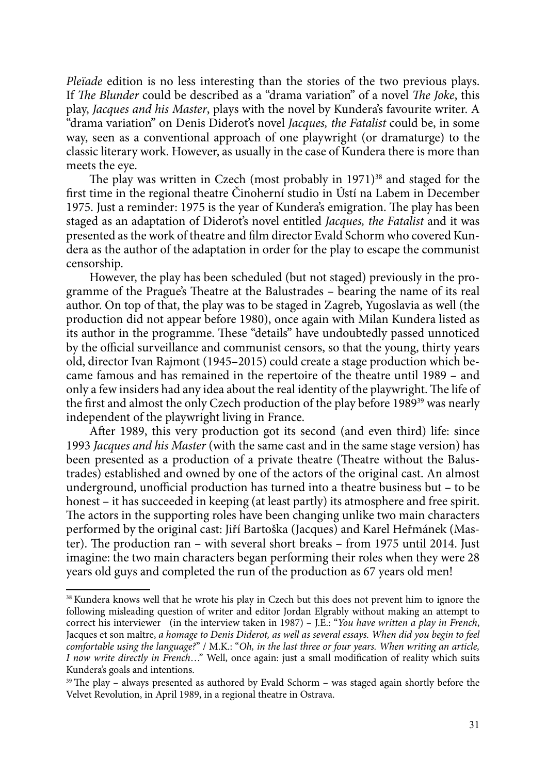*Pleïade* edition is no less interesting than the stories of the two previous plays. If *The Blunder* could be described as a "drama variation" of a novel *The Joke*, this play, *Jacques and his Master*, plays with the novel by Kundera's favourite writer. A "drama variation" on Denis Diderot's novel *Jacques, the Fatalist* could be, in some way, seen as a conventional approach of one playwright (or dramaturge) to the classic literary work. However, as usually in the case of Kundera there is more than meets the eye.

The play was written in Czech (most probably in 1971)<sup>38</sup> and staged for the first time in the regional theatre Činoherní studio in Ústí na Labem in December 1975. Just a reminder: 1975 is the year of Kundera's emigration. The play has been staged as an adaptation of Diderot's novel entitled *Jacques, the Fatalist* and it was presented as the work of theatre and film director Evald Schorm who covered Kundera as the author of the adaptation in order for the play to escape the communist censorship.

However, the play has been scheduled (but not staged) previously in the programme of the Prague's Theatre at the Balustrades – bearing the name of its real author. On top of that, the play was to be staged in Zagreb, Yugoslavia as well (the production did not appear before 1980), once again with Milan Kundera listed as its author in the programme. These "details" have undoubtedly passed unnoticed by the official surveillance and communist censors, so that the young, thirty years old, director Ivan Rajmont (1945–2015) could create a stage production which became famous and has remained in the repertoire of the theatre until 1989 – and only a few insiders had any idea about the real identity of the playwright. The life of the first and almost the only Czech production of the play before 1989<sup>39</sup> was nearly independent of the playwright living in France.

After 1989, this very production got its second (and even third) life: since 1993 *Jacques and his Master* (with the same cast and in the same stage version) has been presented as a production of a private theatre (Theatre without the Balustrades) established and owned by one of the actors of the original cast. An almost underground, unofficial production has turned into a theatre business but – to be honest – it has succeeded in keeping (at least partly) its atmosphere and free spirit. The actors in the supporting roles have been changing unlike two main characters performed by the original cast: Jiří Bartoška (Jacques) and Karel Heřmánek (Master). The production ran – with several short breaks – from 1975 until 2014. Just imagine: the two main characters began performing their roles when they were 28 years old guys and completed the run of the production as 67 years old men!

<sup>38</sup> Kundera knows well that he wrote his play in Czech but this does not prevent him to ignore the following misleading question of writer and editor Jordan Elgrably without making an attempt to correct his interviewer (in the interview taken in 1987) – J.E.: "*You have written a play in French*, Jacques et son maître, a homage to Denis Diderot, as well as several essays. When did you begin to feel *comfortable using the language?*" / M.K.: "*Oh, in the last three or four years. When writing an article, I now write directly in French*…" Well, once again: just a small modification of reality which suits Kundera's goals and intentions.

<sup>&</sup>lt;sup>39</sup> The play – always presented as authored by Evald Schorm – was staged again shortly before the Velvet Revolution, in April 1989, in a regional theatre in Ostrava.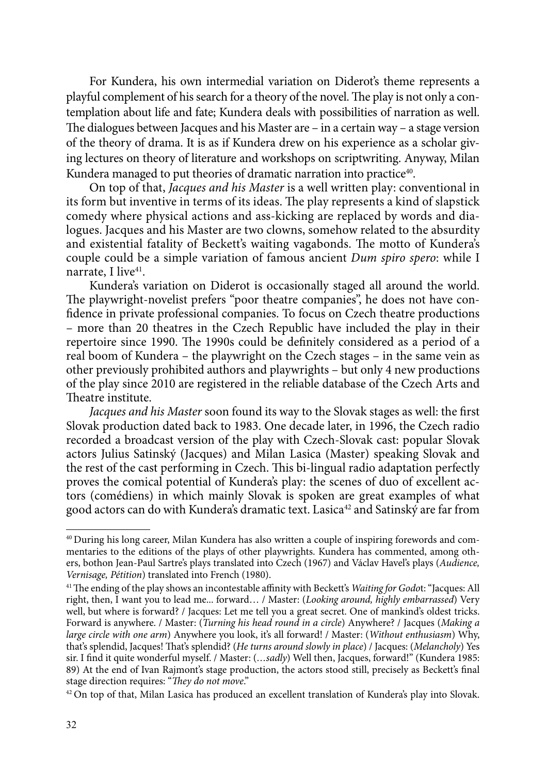For Kundera, his own intermedial variation on Diderot's theme represents a playful complement of his search for a theory of the novel. The play is not only a contemplation about life and fate; Kundera deals with possibilities of narration as well. The dialogues between Jacques and his Master are – in a certain way – a stage version of the theory of drama. It is as if Kundera drew on his experience as a scholar giving lectures on theory of literature and workshops on scriptwriting. Anyway, Milan Kundera managed to put theories of dramatic narration into practice<sup>40</sup>.

On top of that, *Jacques and his Master* is a well written play: conventional in its form but inventive in terms of its ideas. The play represents a kind of slapstick comedy where physical actions and ass-kicking are replaced by words and dialogues. Jacques and his Master are two clowns, somehow related to the absurdity and existential fatality of Beckett's waiting vagabonds. The motto of Kundera's couple could be a simple variation of famous ancient *Dum spiro spero*: while I narrate, I live<sup>41</sup>.

Kundera's variation on Diderot is occasionally staged all around the world. The playwright-novelist prefers "poor theatre companies", he does not have confidence in private professional companies. To focus on Czech theatre productions – more than 20 theatres in the Czech Republic have included the play in their repertoire since 1990. The 1990s could be definitely considered as a period of a real boom of Kundera – the playwright on the Czech stages – in the same vein as other previously prohibited authors and playwrights – but only 4 new productions of the play since 2010 are registered in the reliable database of the Czech Arts and Theatre institute.

*Jacques and his Master* soon found its way to the Slovak stages as well: the first Slovak production dated back to 1983. One decade later, in 1996, the Czech radio recorded a broadcast version of the play with Czech-Slovak cast: popular Slovak actors Julius Satinský (Jacques) and Milan Lasica (Master) speaking Slovak and the rest of the cast performing in Czech. This bi-lingual radio adaptation perfectly proves the comical potential of Kundera's play: the scenes of duo of excellent actors (comédiens) in which mainly Slovak is spoken are great examples of what good actors can do with Kundera's dramatic text. Lasica<sup>42</sup> and Satinský are far from

<sup>40</sup> During his long career, Milan Kundera has also written a couple of inspiring forewords and commentaries to the editions of the plays of other playwrights. Kundera has commented, among others, bothon Jean-Paul Sartre's plays translated into Czech (1967) and Václav Havel's plays (*Audience, Vernisage, Pétition*) translated into French (1980).

<sup>41</sup>The ending of the play shows an incontestable affinity with Beckett's *Waiting for Godo*t: "Jacques: All right, then, I want you to lead me... forward… / Master: (*Looking around, highly embarrassed*) Very well, but where is forward? / Jacques: Let me tell you a great secret. One of mankind's oldest tricks. Forward is anywhere. / Master: (*Turning his head round in a circle*) Anywhere? / Jacques (*Making a large circle with one arm*) Anywhere you look, it's all forward! / Master: (*Without enthusiasm*) Why, that's splendid, Jacques! That's splendid? (*He turns around slowly in place*) / Jacques: (*Melancholy*) Yes sir. I find it quite wonderful myself. / Master: (*…sadly*) Well then, Jacques, forward!" (Kundera 1985: 89) At the end of Ivan Rajmont's stage production, the actors stood still, precisely as Beckett's final stage direction requires: "*They do not move*."

<sup>&</sup>lt;sup>42</sup> On top of that, Milan Lasica has produced an excellent translation of Kundera's play into Slovak.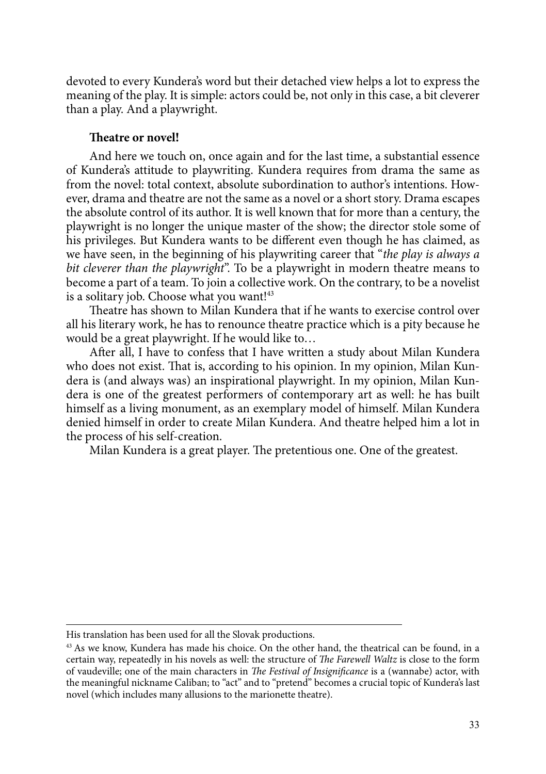devoted to every Kundera's word but their detached view helps a lot to express the meaning of the play. It is simple: actors could be, not only in this case, a bit cleverer than a play. And a playwright.

## **Theatre or novel!**

And here we touch on, once again and for the last time, a substantial essence of Kundera's attitude to playwriting. Kundera requires from drama the same as from the novel: total context, absolute subordination to author's intentions. However, drama and theatre are not the same as a novel or a short story. Drama escapes the absolute control of its author. It is well known that for more than a century, the playwright is no longer the unique master of the show; the director stole some of his privileges. But Kundera wants to be different even though he has claimed, as we have seen, in the beginning of his playwriting career that "*the play is always a bit cleverer than the playwright*". To be a playwright in modern theatre means to become a part of a team. To join a collective work. On the contrary, to be a novelist is a solitary job. Choose what you want!<sup>43</sup>

Theatre has shown to Milan Kundera that if he wants to exercise control over all his literary work, he has to renounce theatre practice which is a pity because he would be a great playwright. If he would like to…

After all, I have to confess that I have written a study about Milan Kundera who does not exist. That is, according to his opinion. In my opinion, Milan Kundera is (and always was) an inspirational playwright. In my opinion, Milan Kundera is one of the greatest performers of contemporary art as well: he has built himself as a living monument, as an exemplary model of himself. Milan Kundera denied himself in order to create Milan Kundera. And theatre helped him a lot in the process of his self-creation.

Milan Kundera is a great player. The pretentious one. One of the greatest.

His translation has been used for all the Slovak productions.

<sup>&</sup>lt;sup>43</sup> As we know, Kundera has made his choice. On the other hand, the theatrical can be found, in a certain way, repeatedly in his novels as well: the structure of *The Farewell Waltz* is close to the form of vaudeville; one of the main characters in *The Festival of Insignificance* is a (wannabe) actor, with the meaningful nickname Caliban; to "act" and to "pretend" becomes a crucial topic of Kundera's last novel (which includes many allusions to the marionette theatre).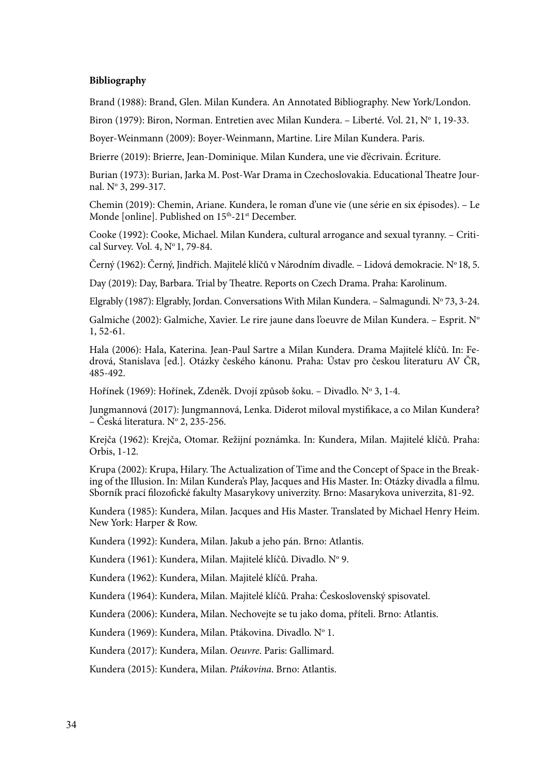#### **Bibliography**

Brand (1988): Brand, Glen. Milan Kundera. An Annotated Bibliography. New York/London.

Biron (1979): Biron, Norman. Entretien avec Milan Kundera. – Liberté. Vol. 21, № 1, 19-33.

Boyer-Weinmann (2009): Boyer-Weinmann, Martine. Lire Milan Kundera. Paris.

Brierre (2019): Brierre, Jean-Dominique. Milan Kundera, une vie d'écrivain. Écriture.

Burian (1973): Burian, Jarka M. Post-War Drama in Czechoslovakia. Educational Theatre Journal. No 3, 299-317.

Chemin (2019): Chemin, Ariane. Kundera, le roman d'une vie (une série en six épisodes). – Le Monde [online]. Published on 15<sup>th</sup>-21<sup>st</sup> December.

Cooke (1992): Cooke, Michael. Milan Kundera, cultural arrogance and sexual tyranny. – Critical Survey. Vol. 4, Nº 1, 79-84.

Černý (1962): Černý, Jindřich. Majitelé klíčů v Národním divadle. – Lidová demokracie. Nº 18, 5.

Day (2019): Day, Barbara. Trial by Theatre. Reports on Czech Drama. Praha: Karolinum.

Elgrably (1987): Elgrably, Jordan. Conversations With Milan Kundera. – Salmagundi. N° 73, 3-24.

Galmiche (2002): Galmiche, Xavier. Le rire jaune dans l'oeuvre de Milan Kundera. – Esprit. N° 1, 52-61.

Hala (2006): Hala, Katerina. Jean-Paul Sartre a Milan Kundera. Drama Majitelé klíčů. In: Fedrová, Stanislava [ed.]. Otázky českého kánonu. Praha: Ústav pro českou literaturu AV ČR, 485-492.

Hořínek (1969): Hořínek, Zdeněk. Dvojí způsob šoku. – Divadlo. Nº 3, 1-4.

Jungmannová (2017): Jungmannová, Lenka. Diderot miloval mystifikace, a co Milan Kundera? – Česká literatura. Nº 2, 235-256.

Krejča (1962): Krejča, Otomar. Režijní poznámka. In: Kundera, Milan. Majitelé klíčů. Praha: Orbis, 1-12.

Krupa (2002): Krupa, Hilary. The Actualization of Time and the Concept of Space in the Breaking of the Illusion. In: Milan Kundera's Play, Jacques and His Master. In: Otázky divadla a filmu. Sborník prací filozofické fakulty Masarykovy univerzity. Brno: Masarykova univerzita, 81-92.

Kundera (1985): Kundera, Milan. Jacques and His Master. Translated by Michael Henry Heim. New York: Harper & Row.

Kundera (1992): Kundera, Milan. Jakub a jeho pán. Brno: Atlantis.

Kundera (1961): Kundera, Milan. Majitelé klíčů. Divadlo. Nº 9.

Kundera (1962): Kundera, Milan. Majitelé klíčů. Praha.

Kundera (1964): Kundera, Milan. Majitelé klíčů. Praha: Československý spisovatel.

Kundera (2006): Kundera, Milan. Nechovejte se tu jako doma, příteli. Brno: Atlantis.

Kundera (1969): Kundera, Milan. Ptákovina. Divadlo. Nº 1.

Kundera (2017): Kundera, Milan. *Oeuvre*. Paris: Gallimard.

Kundera (2015): Kundera, Milan. *Ptákovina*. Brno: Atlantis.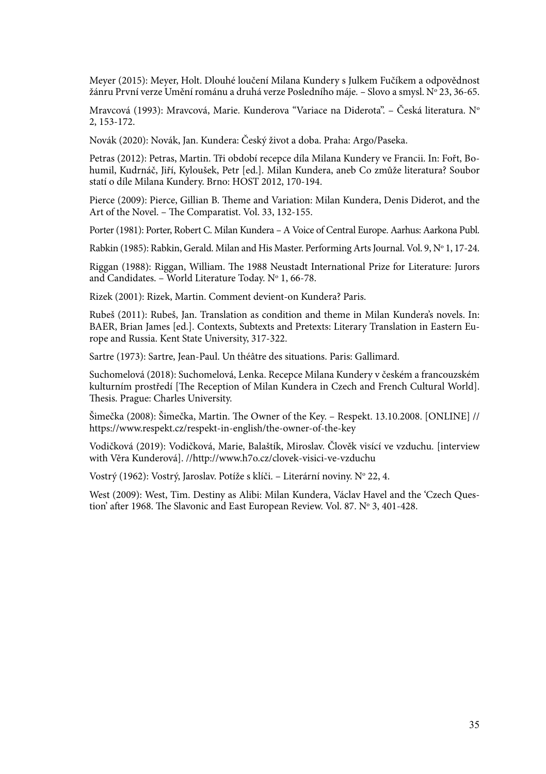Meyer (2015): Meyer, Holt. Dlouhé loučení Milana Kundery s Julkem Fučíkem a odpovědnost žánru První verze Umění románu a druhá verze Posledního máje. – Slovo a smysl. № 23, 36-65.

Mravcová (1993): Mravcová, Marie. Kunderova "Variace na Diderota". – Česká literatura. N° 2, 153-172.

Novák (2020): Novák, Jan. Kundera: Český život a doba. Praha: Argo/Paseka.

Petras (2012): Petras, Martin. Tři období recepce díla Milana Kundery ve Francii. In: Fořt, Bohumil, Kudrnáč, Jiří, Kyloušek, Petr [ed.]. Milan Kundera, aneb Co zmůže literatura? Soubor statí o díle Milana Kundery. Brno: HOST 2012, 170-194.

Pierce (2009): Pierce, Gillian B. Theme and Variation: Milan Kundera, Denis Diderot, and the Art of the Novel. – The Comparatist. Vol. 33, 132-155.

Porter (1981): Porter, Robert C. Milan Kundera *–* A Voice of Central Europe. Aarhus: Aarkona Publ.

Rabkin (1985): Rabkin, Gerald. Milan and His Master. Performing Arts Journal. Vol. 9, N° 1, 17-24.

Riggan (1988): Riggan, William. The 1988 Neustadt International Prize for Literature: Jurors and Candidates. – World Literature Today. N° 1, 66-78.

Rizek (2001): Rizek, Martin. Comment devient-on Kundera? Paris.

Rubeš (2011): Rubeš, Jan. Translation as condition and theme in Milan Kundera's novels. In: BAER, Brian James [ed.]. Contexts, Subtexts and Pretexts: Literary Translation in Eastern Europe and Russia. Kent State University, 317-322.

Sartre (1973): Sartre, Jean-Paul. Un théâtre des situations. Paris: Gallimard.

Suchomelová (2018): Suchomelová, Lenka. Recepce Milana Kundery v českém a francouzském kulturním prostředí [The Reception of Milan Kundera in Czech and French Cultural World]. Thesis. Prague: Charles University.

Šimečka (2008): Šimečka, Martin. The Owner of the Key. – Respekt. 13.10.2008. [ONLINE] // https://www.respekt.cz/respekt-in-english/the-owner-of-the-key

Vodičková (2019): Vodičková, Marie, Balaštík, Miroslav. Člověk visící ve vzduchu. [interview with Věra Kunderová]. //http://www.h7o.cz/clovek-visici-ve-vzduchu

Vostrý (1962): Vostrý, Jaroslav. Potíže s klíči. – Literární noviny. N° 22, 4.

West (2009): West, Tim. Destiny as Alibi: Milan Kundera, Václav Havel and the 'Czech Question' after 1968. The Slavonic and East European Review. Vol. 87. N° 3, 401-428.